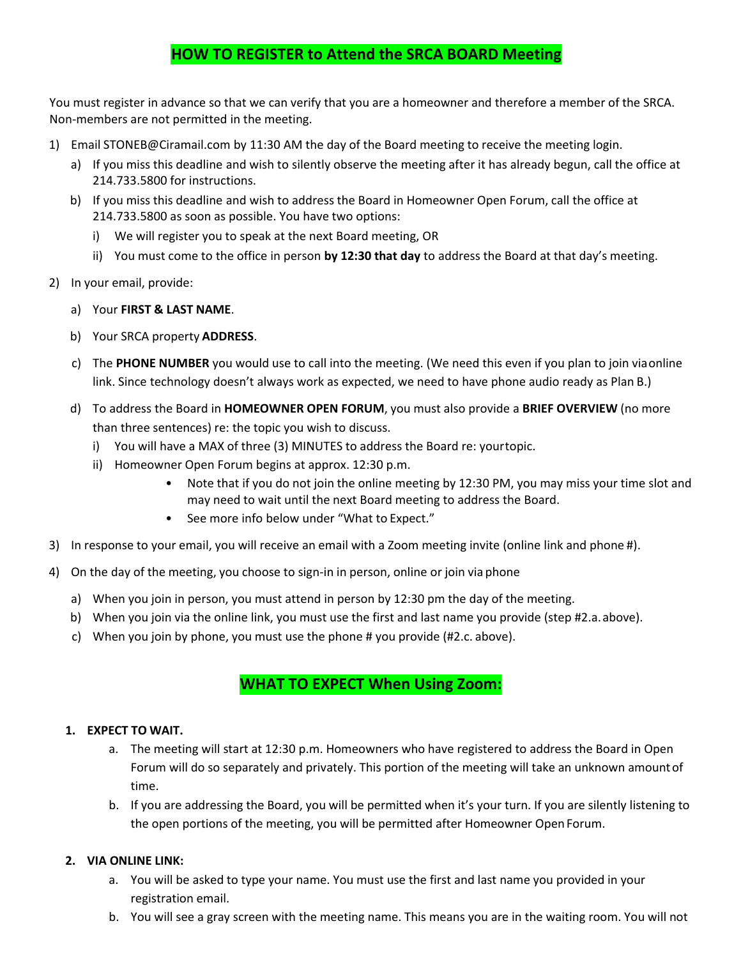# **HOW TO REGISTER to Attend the SRCA BOARD Meeting**

You must register in advance so that we can verify that you are a homeowner and therefore a member of the SRCA. Non-members are not permitted in the meeting.

- 1) Email [STONEB@Ciramail](mailto:srca@cmamanagement.com).com by 11:30 AM the day of the Board meeting to receive the meeting login.
	- a) If you miss this deadline and wish to silently observe the meeting after it has already begun, call the office at 214.733.5800 for instructions.
	- b) If you miss this deadline and wish to address the Board in Homeowner Open Forum, call the office at 214.733.5800 as soon as possible. You have two options:
		- i) We will register you to speak at the next Board meeting, OR
		- ii) You must come to the office in person **by 12:30 that day** to address the Board at that day's meeting.
- 2) In your email, provide:
	- a) Your **FIRST & LAST NAME**.
	- b) Your SRCA property **ADDRESS**.
	- c) The **PHONE NUMBER** you would use to call into the meeting. (We need this even if you plan to join via online link. Since technology doesn't always work as expected, we need to have phone audio ready as Plan B.)
	- d) To address the Board in **HOMEOWNER OPEN FORUM**, you must also provide a **BRIEF OVERVIEW** (no more than three sentences) re: the topic you wish to discuss.
		- i) You will have a MAX of three (3) MINUTES to address the Board re: your topic.
		- ii) Homeowner Open Forum begins at approx. 12:30 p.m.
			- Note that if you do not join the online meeting by 12:30 PM, you may miss your time slot and may need to wait until the next Board meeting to address the Board.
			- See more info below under "What to Expect."
- 3) In response to your email, you will receive an email with a Zoom meeting invite (online link and phone #).
- 4) On the day of the meeting, you choose to sign-in in person, online or join via phone
	- a) When you join in person, you must attend in person by 12:30 pm the day of the meeting.
	- b) When you join via the online link, you must use the first and last name you provide (step #2.a. above).
	- c) When you join by phone, you must use the phone # you provide (#2.c. above).

## **WHAT TO EXPECT When Using Zoom:**

#### **1. EXPECT TO WAIT.**

- a. The meeting will start at 12:30 p.m. Homeowners who have registered to address the Board in Open Forum will do so separately and privately. This portion of the meeting will take an unknown amount of time.
- b. If you are addressing the Board, you will be permitted when it's your turn. If you are silently listening to the open portions of the meeting, you will be permitted after Homeowner Open Forum.

## **2. VIA ONLINE LINK:**

- a. You will be asked to type your name. You must use the first and last name you provided in your registration email.
- b. You will see a gray screen with the meeting name. This means you are in the waiting room. You will not